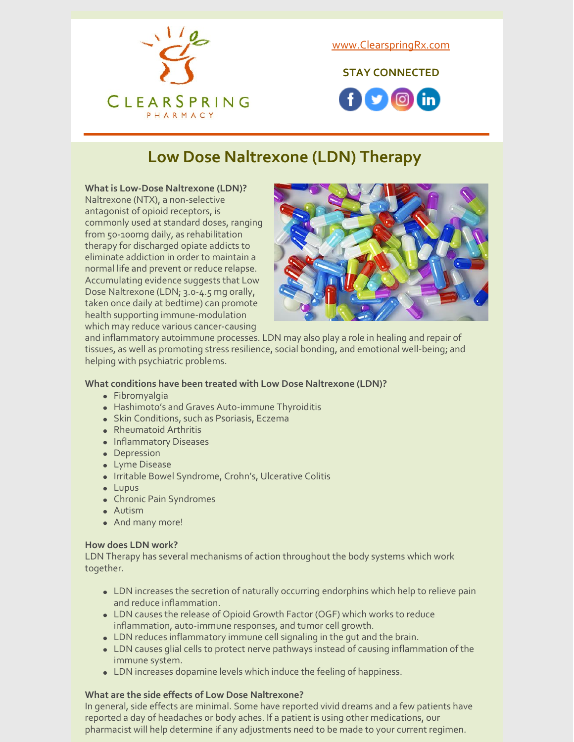

[www.ClearspringRx.com](https://www.clearspringrx.com)

**STAY CONNECTED**



## **Low Dose Naltrexone (LDN) Therapy**

#### **What is Low-Dose Naltrexone (LDN)?**

Naltrexone (NTX), a non-selective antagonist of opioid receptors, is commonly used at standard doses, ranging from 50-100mg daily, as rehabilitation therapy for discharged opiate addicts to eliminate addiction in order to maintain a normal life and prevent or reduce relapse. Accumulating evidence suggests that Low Dose Naltrexone (LDN; 3.0-4.5 mg orally, taken once daily at bedtime) can promote health supporting immune-modulation which may reduce various cancer-causing



and inflammatory autoimmune processes. LDN may also play a role in healing and repair of tissues, as well as promoting stress resilience, social bonding, and emotional well-being; and helping with psychiatric problems.

#### **What conditions have been treated with Low Dose Naltrexone (LDN)?**

- Fibromyalgia
- Hashimoto's and Graves Auto-immune Thyroiditis
- Skin Conditions, such as Psoriasis, Eczema
- Rheumatoid Arthritis
- Inflammatory Diseases
- Depression
- Lyme Disease
- Irritable Bowel Syndrome, Crohn's, Ulcerative Colitis
- Lupus
- Chronic Pain Syndromes
- Autism
- And many more!

#### **How does LDN work?**

LDN Therapy has several mechanisms of action throughout the body systems which work together.

- LDN increases the secretion of naturally occurring endorphins which help to relieve pain and reduce inflammation.
- LDN causes the release of Opioid Growth Factor (OGF) which works to reduce inflammation, auto-immune responses, and tumor cell growth.
- LDN reduces inflammatory immune cell signaling in the gut and the brain.
- LDN causes glial cells to protect nerve pathways instead of causing inflammation of the immune system.
- LDN increases dopamine levels which induce the feeling of happiness.

#### **What are the side effects of Low Dose Naltrexone?**

In general, side effects are minimal. Some have reported vivid dreams and a few patients have reported a day of headaches or body aches. If a patient is using other medications, our pharmacist will help determine if any adjustments need to be made to your current regimen.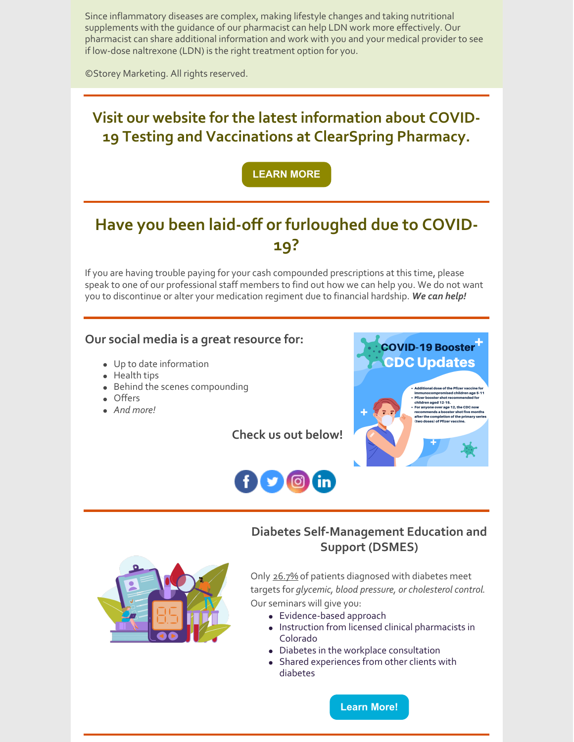Since inflammatory diseases are complex, making lifestyle changes and taking nutritional supplements with the guidance of our pharmacist can help LDN work more effectively. Our pharmacist can share additional information and work with you and your medical provider to see if low-dose naltrexone (LDN) is the right treatment option for you.

©Storey Marketing. All rights reserved.

### **Visit our website for the latest information about COVID-19 Testing and Vaccinations at ClearSpring Pharmacy.**

### **[LEARN](https://clearspringrx.com/covid-19.php) MORE**

## **Have you been laid-off or furloughed due to COVID-19?**

If you are having trouble paying for your cash compounded prescriptions at this time, please speak to one of our professional staff members to find out how we can help you. We do not want you to discontinue or alter your medication regiment due to financial hardship. *We can help!*

#### **Our social media is a great resource for:**

- Up to date information
- Health tips
- Behind the scenes compounding
- Offers
- *And more!*

**Check us out below!**





### **Diabetes Self-Management Education and Support (DSMES)**



Only 26.7% of patients diagnosed with diabetes meet targets for *glycemic, blood pressure, or cholesterol control*. Our seminars will give you:

- Evidence-based approach
- Instruction from licensed clinical pharmacists in Colorado
- Diabetes in the workplace consultation
- Shared experiences from other clients with diabetes

**[Learn](https://ucdenver.co1.qualtrics.com/jfe/form/SV_3kLRVHFT83QEVtc) More!**